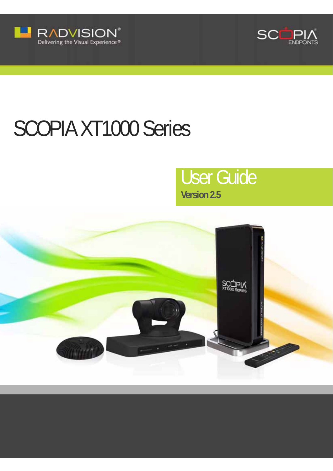



# SCOPIA XT1000 Series

# User Guide **Version 2.5**

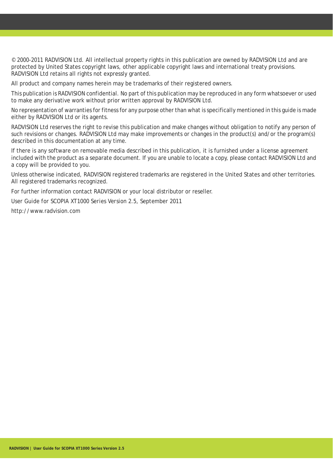© 2000-2011 RADVISION Ltd. All intellectual property rights in this publication are owned by RADVISION Ltd and are protected by United States copyright laws, other applicable copyright laws and international treaty provisions. RADVISION Ltd retains all rights not expressly granted.

All product and company names herein may be trademarks of their registered owners.

This publication is RADVISION confidential. No part of this publication may be reproduced in any form whatsoever or used to make any derivative work without prior written approval by RADVISION Ltd.

No representation of warranties for fitness for any purpose other than what is specifically mentioned in this guide is made either by RADVISION Ltd or its agents.

RADVISION Ltd reserves the right to revise this publication and make changes without obligation to notify any person of such revisions or changes. RADVISION Ltd may make improvements or changes in the product(s) and/or the program(s) described in this documentation at any time.

If there is any software on removable media described in this publication, it is furnished under a license agreement included with the product as a separate document. If you are unable to locate a copy, please contact RADVISION Ltd and a copy will be provided to you.

Unless otherwise indicated, RADVISION registered trademarks are registered in the United States and other territories. All registered trademarks recognized.

For further information contact RADVISION or your local distributor or reseller.

*User Guide for SCOPIA XT1000 Series Version 2.5, September 2011*

http://www.radvision.com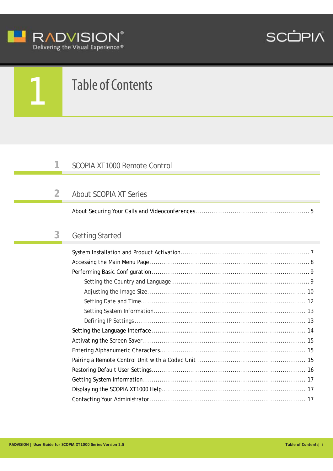



# *1* Table of Contents

# **1** [SCOPIA XT1000 Remote Control](#page-5-0)

# **2** [About SCOPIA XT Series](#page-7-0)

|--|--|

# **3** [Getting Started](#page-8-0)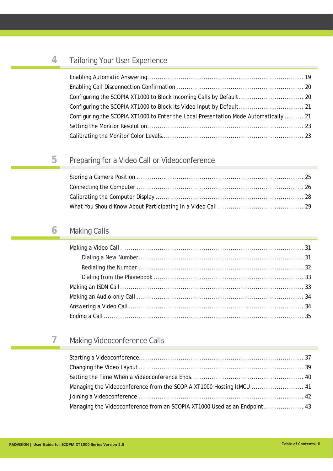# **4** [Tailoring Your User Experience](#page-19-0)

| Configuring the SCOPIA XT1000 to Enter the Local Presentation Mode Automatically  21 |  |
|--------------------------------------------------------------------------------------|--|
|                                                                                      |  |
|                                                                                      |  |

# **5** [Preparing for a Video Call or Videoconference](#page-24-0)

# **6** [Making Calls](#page-29-0)

# **7** [Making Videoconference Calls](#page-34-0)

| Managing the Videoconference from the SCOPIA XT1000 Hosting ItMCU  41     |  |
|---------------------------------------------------------------------------|--|
|                                                                           |  |
| Managing the Videoconference from an SCOPIA XT1000 Used as an Endpoint 43 |  |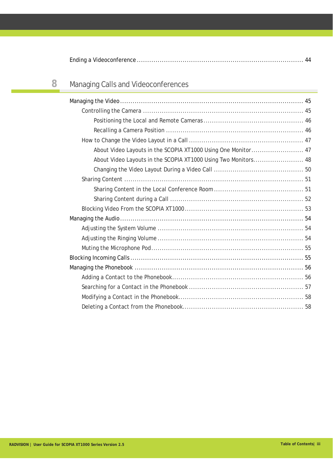|--|--|--|

# **8** [Managing Calls and Videoconferences](#page-42-0)

| About Video Layouts in the SCOPIA XT1000 Using One Monitor 47  |
|----------------------------------------------------------------|
| About Video Layouts in the SCOPIA XT1000 Using Two Monitors 48 |
|                                                                |
|                                                                |
|                                                                |
|                                                                |
|                                                                |
|                                                                |
|                                                                |
|                                                                |
|                                                                |
|                                                                |
|                                                                |
|                                                                |
|                                                                |
|                                                                |
|                                                                |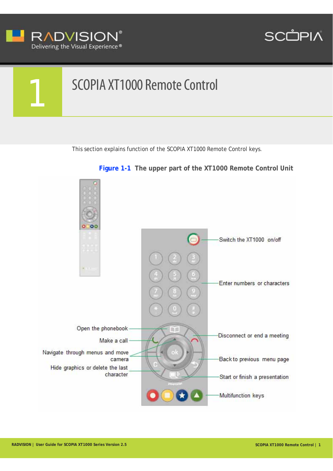



<span id="page-5-0"></span>

This section explains function of the SCOPIA XT1000 Remote Control keys.



**Figure 1-1 The upper part of the XT1000 Remote Control Unit**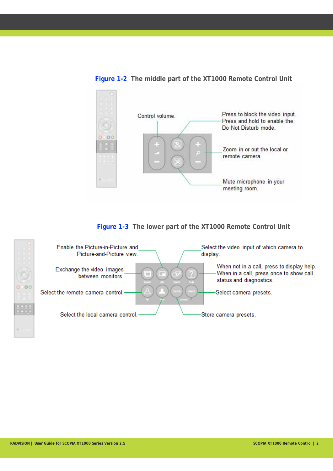# **Figure 1-2 The middle part of the XT1000 Remote Control Unit**



**Figure 1-3 The lower part of the XT1000 Remote Control Unit**

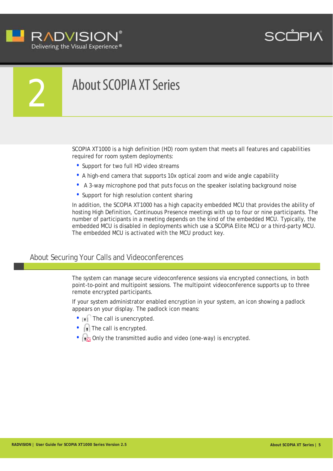

*2*



# <span id="page-7-0"></span>About SCOPIA XT Series

SCOPIA XT1000 is a high definition (HD) room system that meets all features and capabilities required for room system deployments:

- Support for two full HD video streams
- A high-end camera that supports 10x optical zoom and wide angle capability
- A 3-way microphone pod that puts focus on the speaker isolating background noise
- Support for high resolution content sharing

In addition, the SCOPIA XT1000 has a high capacity embedded MCU that provides the ability of hosting High Definition, Continuous Presence meetings with up to four or nine participants. The number of participants in a meeting depends on the kind of the embedded MCU. Typically, the embedded MCU is disabled in deployments which use a SCOPIA Elite MCU or a third-party MCU. The embedded MCU is activated with the MCU product key.

#### <span id="page-7-1"></span>About Securing Your Calls and Videoconferences

The system can manage secure videoconference sessions via encrypted connections, in both point-to-point and multipoint sessions. The multipoint videoconference supports up to three remote encrypted participants.

If your system administrator enabled encryption in your system, an icon showing a padlock appears on your display. The padlock icon means:

- $\bullet$   $\bullet$  The call is unencrypted.
- $\bullet$   $\bullet$  The call is encrypted.
- $\bullet$  T<sub>12</sub> Only the transmitted audio and video (one-way) is encrypted.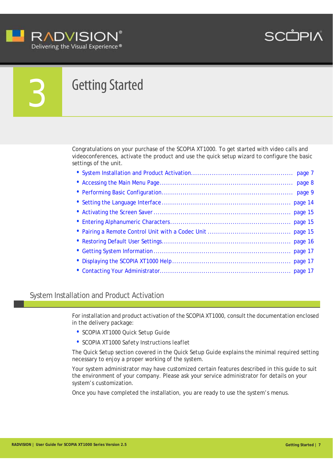



# *3*

# <span id="page-8-0"></span>Getting Started

Congratulations on your purchase of the SCOPIA XT1000. To get started with video calls and videoconferences, activate the product and use the quick setup wizard to configure the basic settings of the unit.

# <span id="page-8-1"></span>System Installation and Product Activation

For installation and product activation of the SCOPIA XT1000, consult the documentation enclosed in the delivery package:

- SCOPIA XT1000 *Quick Setup Guide*
- SCOPIA XT1000 *Safety Instructions leaflet*

The Quick Setup section covered in the *Quick Setup Guide* explains the minimal required setting necessary to enjoy a proper working of the system.

Your system administrator may have customized certain features described in this guide to suit the environment of your company. Please ask your service administrator for details on your system's customization.

Once you have completed the installation, you are ready to use the system's menus.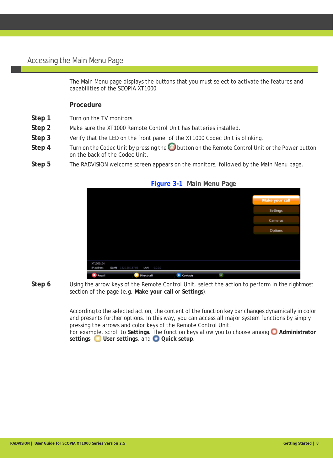<span id="page-9-0"></span>The Main Menu page displays the buttons that you must select to activate the features and capabilities of the SCOPIA XT1000.

#### **Procedure**

- **Step 1** Turn on the TV monitors.
- **Step 2** Make sure the XT1000 Remote Control Unit has batteries installed.
- **Step 3** Verify that the LED on the front panel of the XT1000 Codec Unit is blinking.
- **Step 4** Turn on the Codec Unit by pressing the **button on the Remote Control Unit or the Power button** on the back of the Codec Unit.
- Step 5 The RADVISION welcome screen appears on the monitors, followed by the Main Menu page.



**Figure 3-1 Main Menu Page**

**Step 6** Using the arrow keys of the Remote Control Unit, select the action to perform in the rightmost section of the page (e.g. **Make your call** or **Settings**).

> According to the selected action, the content of the function key bar changes dynamically in color and presents further options. In this way, you can access all major system functions by simply pressing the arrows and color keys of the Remote Control Unit. For example, scroll to Settings. The function keys allow you to choose among **Administrator**

> **settings, User settings, and <b>Quick setup**.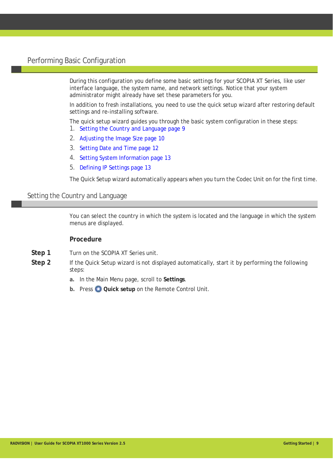<span id="page-10-0"></span>During this configuration you define some basic settings for your SCOPIA XT Series, like user interface language, the system name, and network settings. Notice that your system administrator might already have set these parameters for you.

In addition to fresh installations, you need to use the quick setup wizard after restoring default settings and re-installing software.

The quick setup wizard guides you through the basic system configuration in these steps:

- 1. [Setting the Country and Language page 9](#page-10-1)
- 2. [Adjusting the Image Size page 10](#page-11-0)
- 3. [Setting Date and Time page 12](#page-13-0)
- 4. [Setting System Information page 13](#page-14-0)
- 5. [Defining IP Settings page 13](#page-14-1)

The Quick Setup wizard automatically appears when you turn the Codec Unit on for the first time.

#### <span id="page-10-1"></span>Setting the Country and Language

You can select the country in which the system is located and the language in which the system menus are displayed.

#### **Procedure**

- **Step 1** Turn on the SCOPIA XT Series unit.
- **Step 2** If the Quick Setup wizard is not displayed automatically, start it by performing the following steps:
	- **a.** In the Main Menu page, scroll to **Settings**.
	- **b.** Press **Quick setup** on the Remote Control Unit.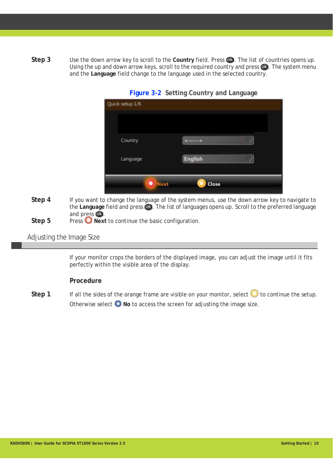**Step 3** Use the down arrow key to scroll to the **Country** field. Press **ob**. The list of countries opens up. Using the up and down arrow keys, scroll to the required country and press  $\mathbb{C}$ . The system menu and the **Language** field change to the language used in the selected country.

| Quick setup 1/6 |                |  |  |
|-----------------|----------------|--|--|
|                 |                |  |  |
| Country         | $\leftarrow$   |  |  |
| Language        | <b>English</b> |  |  |
| <b>Next</b>     | Close          |  |  |

#### **Figure 3-2 Setting Country and Language**

- **Step 4** If you want to change the language of the system menus, use the down arrow key to navigate to the Language field and press ok. The list of languages opens up. Scroll to the preferred language and press ok.
- **Step 5** Press **P** Next to continue the basic configuration.

#### <span id="page-11-0"></span>Adjusting the Image Size

If your monitor crops the borders of the displayed image, you can adjust the image until it fits perfectly within the visible area of the display.

#### **Procedure**

**Step 1** If all the sides of the orange frame are visible on your monitor, select  $\Box$  to continue the setup. Otherwise select **No** to access the screen for adjusting the image size.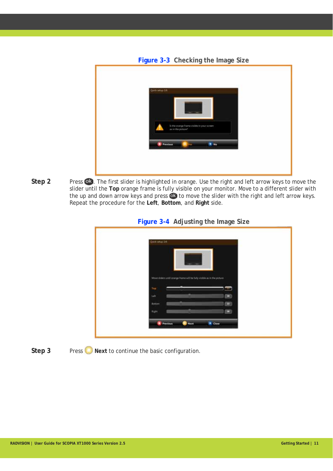

- Step 2 Press <sup>Ok</sup>. The first slider is highlighted in orange. Use the right and left arrow keys to move the slider until the **Top** orange frame is fully visible on your monitor. Move to a different slider with the up and down arrow keys and press of to move the slider with the right and left arrow keys. Repeat the procedure for the **Left**, **Bottom**, and **Right** side.
	- **COM**
- **Figure 3-4 Adjusting the Image Size**

**Step 3** Press **Next** to continue the basic configuration.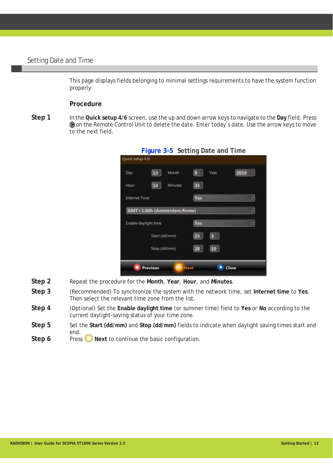This page displays fields belonging to minimal settings requirements to have the system function properly.

#### **Procedure**

<span id="page-13-0"></span>**Step 1** In the **Quick setup 4/6** screen, use the up and down arrow keys to navigate to the **Day** field. Press on the Remote Control Unit to delete the date. Enter today's date. Use the arrow keys to move to the next field.

| 2010<br>9<br>Year           |
|-----------------------------|
| 35                          |
| Yes                         |
| GMT+1.00h (Amsterdam, Rome) |
| Yes                         |
| 25<br>в                     |
| 10<br>28                    |
|                             |

**Figure 3-5 Setting Date and Time**

- **Step 2** Repeat the procedure for the **Month**, **Year**, **Hour**, and **Minutes**.
- **Step 3** (Recommended) To synchronize the system with the network time, set **Internet time** to **Yes**. Then select the relevant time zone from the list.
- **Step 4** (Optional) Set the **Enable daylight time** (or summer time) field to **Yes** or **No** according to the current daylight-saving status of your time zone.
- **Step 5** Set the **Start (dd/mm)** and **Stop (dd/mm)** fields to indicate when daylight saving times start and end.
- **Step 6** Press **Next** to continue the basic configuration.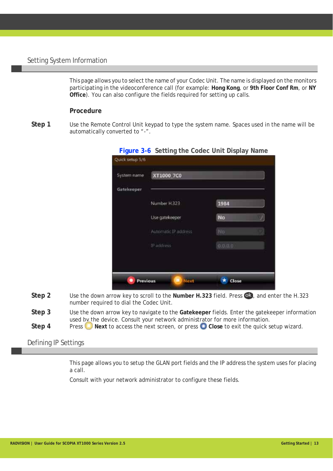<span id="page-14-0"></span>This page allows you to select the name of your Codec Unit. The name is displayed on the monitors participating in the videoconference call (for example: **Hong Kong**, or **9th Floor Conf Rm**, or **NY Office**). You can also configure the fields required for setting up calls.

#### **Procedure**

**Step 1** Use the Remote Control Unit keypad to type the system name. Spaces used in the name will be automatically converted to "-".

| Quick setup 5/6 |                      |           |
|-----------------|----------------------|-----------|
| System name     | XT1000_7C0           |           |
| Gatekeeper      |                      |           |
|                 | Number H.323         | 1984      |
|                 | Use gatekeeper       | <b>No</b> |
|                 | Automatic IP address | No.       |
|                 | IP address           | 0.0, 0.0  |
|                 |                      |           |
| <b>Previous</b> | ٠<br>Next            | Close     |

**Figure 3-6 Setting the Codec Unit Display Name**

- Step 2 Use the down arrow key to scroll to the Number H.323 field. Press ok, and enter the H.323 number required to dial the Codec Unit.
- **Step 3** Use the down arrow key to navigate to the **Gatekeeper** fields. Enter the gatekeeper information used by the device. Consult your network administrator for more information.
- **Step 4** Press **Next** to access the next screen, or press **C** Close to exit the quick setup wizard.

<span id="page-14-1"></span>Defining IP Settings

This page allows you to setup the GLAN port fields and the IP address the system uses for placing a call.

Consult with your network administrator to configure these fields.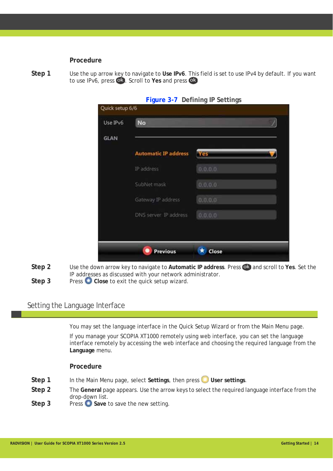#### **Procedure**

**Step 1** Use the up arrow key to navigate to **Use IPv6**. This field is set to use IPv4 by default. If you want to use IPv6, press ok. Scroll to Yes and press ok

| Use IPv6    | <b>No</b>                   |            |  |
|-------------|-----------------------------|------------|--|
| <b>GLAN</b> | <b>Automatic IP address</b> | <b>Yes</b> |  |
|             | IP address                  | 0.0.0.0    |  |
|             | SubNet mask                 | 0.0.0.0    |  |
|             | Gateway IP address          | 0.0.0.0    |  |
|             | DNS server IP address       | 0.0.0.0    |  |
|             |                             |            |  |
|             | <b>Previous</b>             | Close      |  |

- **Step 2** Use the down arrow key to navigate to Automatic IP address. Press **OK** and scroll to Yes. Set the IP addresses as discussed with your network administrator.
- **Step 3** Press **Close** to exit the quick setup wizard.

## <span id="page-15-0"></span>Setting the Language Interface

You may set the language interface in the Quick Setup Wizard or from the Main Menu page.

If you manage your SCOPIA XT1000 remotely using web interface, you can set the language interface remotely by accessing the web interface and choosing the required language from the **Language** menu.

#### **Procedure**

- **Step 1** In the Main Menu page, select Settings, then press User settings.
- **Step 2** The **General** page appears. Use the arrow keys to select the required language interface from the drop-down list.
- **Step 3** Press Save to save the new setting.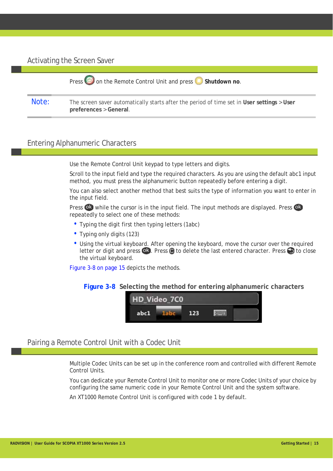# <span id="page-16-0"></span>Activating the Screen Saver



## <span id="page-16-4"></span><span id="page-16-1"></span>Entering Alphanumeric Characters

Use the Remote Control Unit keypad to type letters and digits.

Scroll to the input field and type the required characters. As you are using the default abc1 input method, you must press the alphanumeric button repeatedly before entering a digit.

You can also select another method that best suits the type of information you want to enter in the input field.

Press Ok while the cursor is in the input field. The input methods are displayed. Press Ok repeatedly to select one of these methods:

- Typing the digit first then typing letters (1abc)
- Typing only digits (123)
- Using the virtual keyboard. After opening the keyboard, move the cursor over the required letter or digit and press  $\circ$ k. Press  $\circ$  to delete the last entered character. Press  $\circ$  to close the virtual keyboard.

[Figure 3-8 on page 15](#page-16-3) depicts the methods.

#### <span id="page-16-3"></span>**Figure 3-8 Selecting the method for entering alphanumeric characters**



# <span id="page-16-2"></span>Pairing a Remote Control Unit with a Codec Unit

Multiple Codec Units can be set up in the conference room and controlled with different Remote Control Units.

You can dedicate your Remote Control Unit to monitor one or more Codec Units of your choice by configuring the same numeric code in your Remote Control Unit and the system software.

An XT1000 Remote Control Unit is configured with code 1 by default.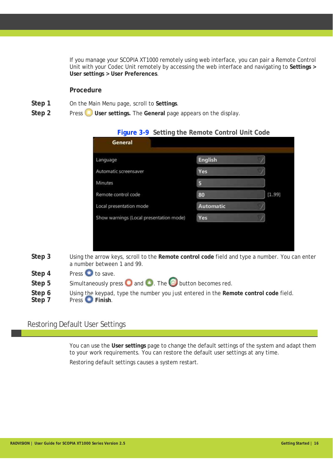If you manage your SCOPIA XT1000 remotely using web interface, you can pair a Remote Control Unit with your Codec Unit remotely by accessing the web interface and navigating to **Settings > User settings > User Preferences**.

#### **Procedure**

- **Step 1** On the Main Menu page, scroll to **Settings**.
- **Step 2** Press User settings. The General page appears on the display.

#### **Figure 3-9 Setting the Remote Control Unit Code**

| <b>General</b>                          |                  |        |
|-----------------------------------------|------------------|--------|
| Language                                | <b>English</b>   |        |
| Automatic screensaver                   | Yes              |        |
| Minutes                                 | 5                |        |
| Remote control code                     | 80               | [1.99] |
| Local presentation mode                 | <b>Automatic</b> |        |
| Show warnings (Local presentation mode) | Yes              |        |

- **Step 3** Using the arrow keys, scroll to the **Remote control code** field and type a number. You can enter a number between 1 and 99.
- **Step 4** Press **to save.**
- **Step 5** Simultaneously press and **A**. The button becomes red.
- **Step 6** Using the keypad, type the number you just entered in the **Remote control code** field.
- **Step 7** Press **Finish.**

# <span id="page-17-0"></span>Restoring Default User Settings

You can use the **User settings** page to change the default settings of the system and adapt them to your work requirements. You can restore the default user settings at any time.

Restoring default settings causes a system restart.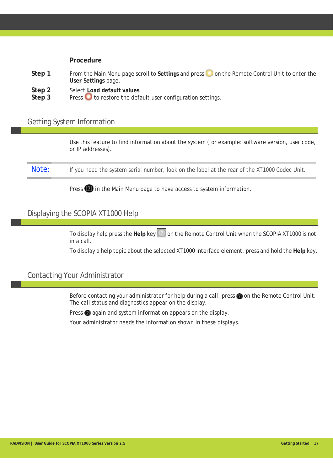#### **Procedure**

- **Step 1** From the Main Menu page scroll to Settings and press on the Remote Control Unit to enter the **User Settings** page.
- **Step 2** Select **Load default values**.
- **Step 3** Press to restore the default user configuration settings.

#### <span id="page-18-0"></span>Getting System Information

Use this feature to find information about the system (for example: software version, user code, or IP addresses).

Note: If you need the system serial number, look on the label at the rear of the XT1000 Codec Unit.

Press  $\Box$  in the Main Menu page to have access to system information.

#### <span id="page-18-1"></span>Displaying the SCOPIA XT1000 Help

To display help press the Help key **the Remote Control Unit when the SCOPIA XT1000** is not in a call.

To display a help topic about the selected XT1000 interface element, press and hold the **Help** key.

#### <span id="page-18-2"></span>Contacting Your Administrator

Before contacting your administrator for help during a call, press @ on the Remote Control Unit. The call status and diagnostics appear on the display.

Press **a** again and system information appears on the display.

Your administrator needs the information shown in these displays.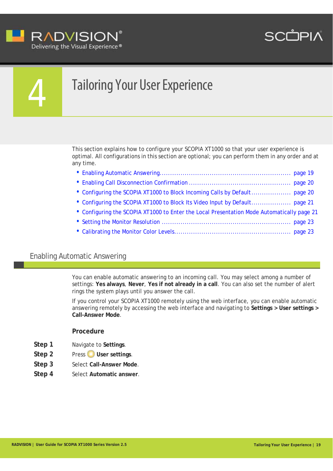

*4*



# <span id="page-19-0"></span>Tailoring Your User Experience

This section explains how to configure your SCOPIA XT1000 so that your user experience is optimal. All configurations in this section are optional; you can perform them in any order and at any time.

| • Configuring the SCOPIA XT1000 to Enter the Local Presentation Mode Automatically page 21 |  |
|--------------------------------------------------------------------------------------------|--|
|                                                                                            |  |
|                                                                                            |  |

# <span id="page-19-2"></span><span id="page-19-1"></span>Enabling Automatic Answering

You can enable automatic answering to an incoming call. You may select among a number of settings: **Yes always**, **Never**, **Yes if not already in a call**. You can also set the number of alert rings the system plays until you answer the call.

If you control your SCOPIA XT1000 remotely using the web interface, you can enable automatic answering remotely by accessing the web interface and navigating to **Settings > User settings > Call-Answer Mode**.

#### **Procedure**

- **Step 1** Navigate to **Settings**.
- **Step 2** Press **User settings**.
- **Step 3** Select **Call-Answer Mode**.
- **Step 4** Select **Automatic answer**.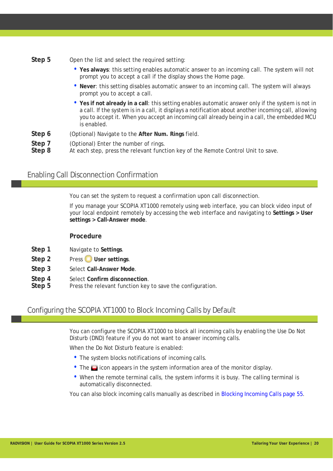| Step 5           | Open the list and select the required setting:                                                                                                                                                                                                                                                                            |
|------------------|---------------------------------------------------------------------------------------------------------------------------------------------------------------------------------------------------------------------------------------------------------------------------------------------------------------------------|
|                  | • Yes always: this setting enables automatic answer to an incoming call. The system will not<br>prompt you to accept a call if the display shows the Home page.                                                                                                                                                           |
|                  | • Never: this setting disables automatic answer to an incoming call. The system will always<br>prompt you to accept a call.                                                                                                                                                                                               |
|                  | • Yes if not already in a call: this setting enables automatic answer only if the system is not in<br>a call. If the system is in a call, it displays a notification about another incoming call, allowing<br>you to accept it. When you accept an incoming call already being in a call, the embedded MCU<br>is enabled. |
| Step 6           | (Optional) Navigate to the After Num. Rings field.                                                                                                                                                                                                                                                                        |
| Step 7<br>Step 8 | (Optional) Enter the number of rings.<br>At each step, press the relevant function key of the Remote Control Unit to save.                                                                                                                                                                                                |

# <span id="page-20-0"></span>Enabling Call Disconnection Confirmation

You can set the system to request a confirmation upon call disconnection.

If you manage your SCOPIA XT1000 remotely using web interface, you can block video input of your local endpoint remotely by accessing the web interface and navigating to **Settings > User settings > Call-Answer mode**.

#### **Procedure**

- **Step 1** Navigate to **Settings**.
- **Step 2** Press **User settings**.
- **Step 3** Select **Call-Answer Mode**.
- **Step 4** Select **Confirm disconnection**.
- **Step 5** Press the relevant function key to save the configuration.

# <span id="page-20-2"></span><span id="page-20-1"></span>Configuring the SCOPIA XT1000 to Block Incoming Calls by Default

You can configure the SCOPIA XT1000 to block all incoming calls by enabling the Use Do Not Disturb (DND) feature if you do not want to answer incoming calls.

When the Do Not Disturb feature is enabled:

- The system blocks notifications of incoming calls.
- The **i** icon appears in the system information area of the monitor display.
- When the remote terminal calls, the system informs it is busy. The calling terminal is automatically disconnected.

You can also block incoming calls manually as described in [Blocking Incoming Calls page 55.](#page-52-2)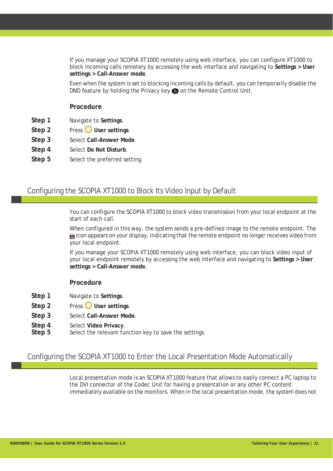If you manage your SCOPIA XT1000 remotely using web interface, you can configure XT1000 to block incoming calls remotely by accessing the web interface and navigating to **Settings > User settings > Call-Answer mode**.

Even when the system is set to blocking incoming calls by default, you can temporarily disable the DND feature by holding the Privacy key **O** on the Remote Control Unit.

#### **Procedure**

- **Step 1** Navigate to **Settings**.
- **Step 2** Press **User settings**.
- **Step 3** Select **Call-Answer Mode**.
- **Step 4** Select **Do Not Disturb**.
- **Step 5** Select the preferred setting.

#### <span id="page-21-2"></span><span id="page-21-0"></span>Configuring the SCOPIA XT1000 to Block Its Video Input by Default

You can configure the SCOPIA XT1000 to block video transmission from your local endpoint at the start of each call.

When configured in this way, the system sends a pre-defined image to the remote endpoint. The icon appears on your display, indicating that the remote endpoint no longer receives video from your local endpoint.

If you manage your SCOPIA XT1000 remotely using web interface, you can block video input of your local endpoint remotely by accessing the web interface and navigating to **Settings > User settings > Call-Answer mode**.

#### **Procedure**

- **Step 1** Navigate to **Settings**.
- **Step 2** Press **User settings**.
- **Step 3** Select **Call-Answer Mode**.
- **Step 4** Select **Video Privacy**.
- **Step 5** Select the relevant function key to save the settings.

#### <span id="page-21-1"></span>Configuring the SCOPIA XT1000 to Enter the Local Presentation Mode Automatically

Local presentation mode is an SCOPIA XT1000 feature that allows to easily connect a PC laptop to the DVI connector of the Codec Unit for having a presentation or any other PC content immediately available on the monitors. When in the local presentation mode, the system does not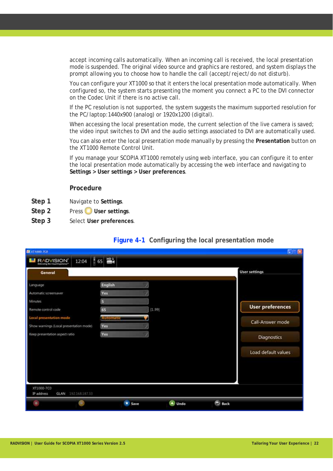accept incoming calls automatically. When an incoming call is received, the local presentation mode is suspended. The original video source and graphics are restored, and system displays the prompt allowing you to choose how to handle the call (accept/reject/do not disturb).

You can configure your XT1000 so that it enters the local presentation mode automatically. When configured so, the system starts presenting the moment you connect a PC to the DVI connector on the Codec Unit if there is no active call.

If the PC resolution is not supported, the system suggests the maximum supported resolution for the PC/laptop:1440x900 (analog) or 1920x1200 (digital).

When accessing the local presentation mode, the current selection of the live camera is saved; the video input switches to DVI and the audio settings associated to DVI are automatically used.

You can also enter the local presentation mode manually by pressing the **Presentation** button on the XT1000 Remote Control Unit.

If you manage your SCOPIA XT1000 remotely using web interface, you can configure it to enter the local presentation mode automatically by accessing the web interface and navigating to **Settings > User settings > User preferences**.

#### **Procedure**

- **Step 1** Navigate to **Settings**.
- **Step 2** Press **User settings**.
- **Step 3** Select **User preferences**.

| EE XT1000-7C0                                   |              |                                 |             | $E = 83$                |
|-------------------------------------------------|--------------|---------------------------------|-------------|-------------------------|
| $12:04$ 65<br><b>LI</b> RADVISION               |              |                                 |             |                         |
| General                                         |              |                                 |             | <b>User settings</b>    |
| Language                                        | English      |                                 |             |                         |
| Automatic screensaver                           | Yes          |                                 |             |                         |
| Minutes                                         | G            |                                 |             |                         |
| Remote control code                             | 65<br>[1.99] |                                 |             | <b>User preferences</b> |
| Local presentation mode                         | Automatic    |                                 |             |                         |
| Show warnings (Local presentation mode)         | Yes          |                                 |             | Call-Answer mode        |
| Keep presentation aspect ratio                  | Yes          |                                 |             | <b>Diagnostics</b>      |
|                                                 |              |                                 |             | Load default values     |
|                                                 |              |                                 |             |                         |
|                                                 |              |                                 |             |                         |
| XT1000-7C0<br>GLAN 192.168.187.33<br>IP address |              |                                 |             |                         |
| ۰                                               | Save         | $\blacktriangle$<br><b>Undo</b> | <b>Back</b> |                         |

#### **Figure 4-1 Configuring the local presentation mode**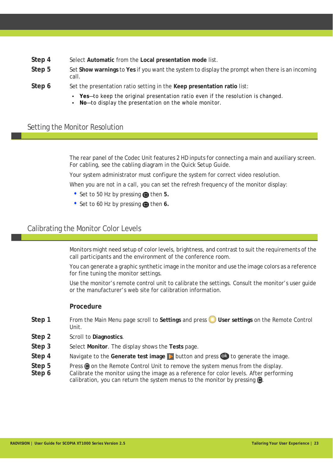- **Step 4** Select **Automatic** from the **Local presentation mode** list.
- **Step 5** Set **Show warnings to Yes** if you want the system to display the prompt when there is an incoming call.
- **Step 6** Set the presentation ratio setting in the Keep presentation ratio list:
	- **• Yes**—to keep the original presentation ratio even if the resolution is changed.
	- **• No**—to display the presentation on the whole monitor.

#### <span id="page-23-0"></span>Setting the Monitor Resolution

The rear panel of the Codec Unit features 2 HD inputs for connecting a main and auxiliary screen. For cabling, see the cabling diagram in the *Quick Setup Guide*.

Your system administrator must configure the system for correct video resolution.

When you are not in a call, you can set the refresh frequency of the monitor display:

- Set to 50 Hz by pressing  $\bigcirc$  then 5.
- Set to 60 Hz by pressing then 6.

#### <span id="page-23-1"></span>Calibrating the Monitor Color Levels

Monitors might need setup of color levels, brightness, and contrast to suit the requirements of the call participants and the environment of the conference room.

You can generate a graphic synthetic image in the monitor and use the image colors as a reference for fine tuning the monitor settings.

Use the monitor's remote control unit to calibrate the settings. Consult the monitor's user guide or the manufacturer's web site for calibration information.

#### **Procedure**

- **Step 1** From the Main Menu page scroll to Settings and press **U** User settings on the Remote Control Unit.
- **Step 2** Scroll to **Diagnostics**.
- **Step 3** Select **Monitor**. The display shows the **Tests** page.
- **Step 4** Navigate to the Generate test image **b** button and press **ok** to generate the image.
- **Step 5** Press **O** on the Remote Control Unit to remove the system menus from the display.
- **Step 6** Calibrate the monitor using the image as a reference for color levels. After performing calibration, you can return the system menus to the monitor by pressing  $\bigcirc$ .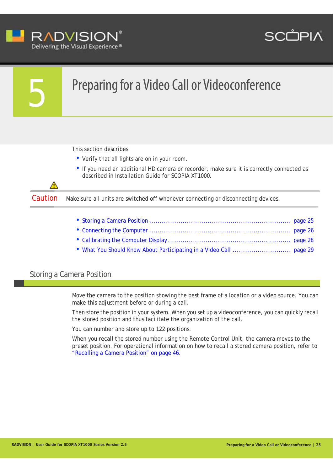



<span id="page-24-0"></span>

This section describes

- Verify that all lights are on in your room.
- If you need an additional HD camera or recorder, make sure it is correctly connected as described in Installation Guide for SCOPIA XT1000.

Caution Make sure all units are switched off whenever connecting or disconnecting devices.

• [Storing a Camera Position .................................................................... page 25](#page-24-1) • [Connecting the Computer .................................................................... page 26](#page-25-0) • [Calibrating the Computer Display ........................................................... page 28](#page-27-0) • [What You Should Know About Participating in a Video Call ............................ page 29](#page-28-0)

# <span id="page-24-2"></span><span id="page-24-1"></span>Storing a Camera Position

⚠

Move the camera to the position showing the best frame of a location or a video source. You can make this adjustment before or during a call.

Then store the position in your system. When you set up a videoconference, you can quickly recall the stored position and thus facilitate the organization of the call.

You can number and store up to 122 positions.

When you recall the stored number using the Remote Control Unit, the camera moves to the preset position. For operational information on how to recall a stored camera position, refer to ["Recalling a Camera Position" on page 46.](#page-43-2)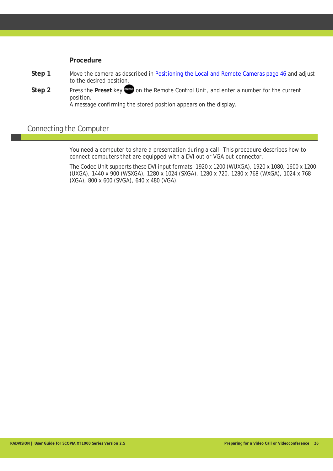#### **Procedure**

- **Step 1** Move the camera as described in [Positioning the Local and Remote Cameras page 46](#page-43-3) and adjust to the desired position.
- **Step 2** Press the Preset key **Remote** On the Remote Control Unit, and enter a number for the current position.

A message confirming the stored position appears on the display.

<span id="page-25-1"></span><span id="page-25-0"></span>Connecting the Computer

You need a computer to share a presentation during a call. This procedure describes how to connect computers that are equipped with a DVI out or VGA out connector.

The Codec Unit supports these DVI input formats: 1920 x 1200 (WUXGA), 1920 x 1080, 1600 x 1200 (UXGA), 1440 x 900 (WSXGA), 1280 x 1024 (SXGA), 1280 x 720, 1280 x 768 (WXGA), 1024 x 768 (XGA), 800 x 600 (SVGA), 640 x 480 (VGA).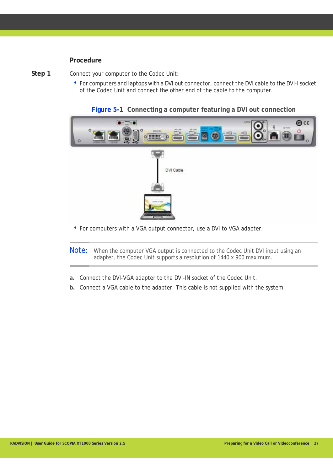#### **Procedure**

- **Step 1** Connect your computer to the Codec Unit:
	- For computers and laptops with a DVI out connector, connect the DVI cable to the DVI-I socket of the Codec Unit and connect the other end of the cable to the computer.

**Figure 5-1 Connecting a computer featuring a DVI out connection**



• For computers with a VGA output connector, use a DVI to VGA adapter.

Note: When the computer VGA output is connected to the Codec Unit DVI input using an adapter, the Codec Unit supports a resolution of 1440 x 900 maximum.

- **a.** Connect the DVI-VGA adapter to the DVI-IN socket of the Codec Unit.
- **b.** Connect a VGA cable to the adapter. This cable is not supplied with the system.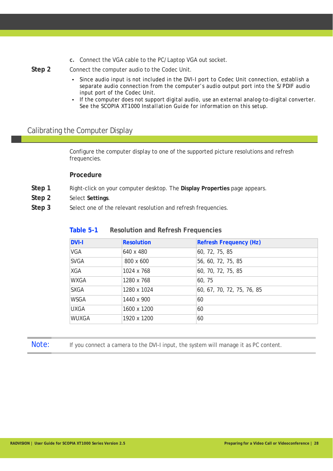- **c.** Connect the VGA cable to the PC/Laptop VGA out socket.
- **Step 2** Connect the computer audio to the Codec Unit.
	- **•** Since audio input is not included in the DVI-I port to Codec Unit connection, establish a separate audio connection from the computer's audio output port into the S/PDIF audio input port of the Codec Unit.
	- **•** If the computer does not support digital audio, use an external analog-to-digital converter. See the *SCOPIA XT1000 Installation Guide* for information on this setup.

# <span id="page-27-1"></span><span id="page-27-0"></span>Calibrating the Computer Display

Configure the computer display to one of the supported picture resolutions and refresh frequencies.

#### **Procedure**

- **Step 1** Right-click on your computer desktop. The **Display Properties** page appears.
- **Step 2** Select **Settings**.
- **Step 3** Select one of the relevant resolution and refresh frequencies.

| <b>Resolution</b> | <b>Refresh Frequency (Hz)</b> |
|-------------------|-------------------------------|
| 640 x 480         | 60, 72, 75, 85                |
| 800 x 600         | 56, 60, 72, 75, 85            |
| 1024 x 768        | 60, 70, 72, 75, 85            |
| 1280 x 768        | 60, 75                        |
| 1280 x 1024       | 60, 67, 70, 72, 75, 76, 85    |
| 1440 x 900        | 60                            |
| 1600 x 1200       | 60                            |
| 1920 x 1200       | 60                            |
|                   |                               |

Note: If you connect a camera to the DVI-I input, the system will manage it as PC content.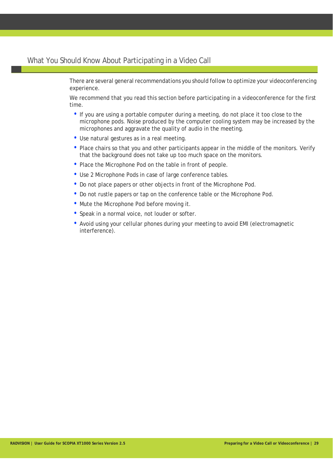# <span id="page-28-0"></span>What You Should Know About Participating in a Video Call

There are several general recommendations you should follow to optimize your videoconferencing experience.

We recommend that you read this section before participating in a videoconference for the first time.

- If you are using a portable computer during a meeting, do not place it too close to the microphone pods. Noise produced by the computer cooling system may be increased by the microphones and aggravate the quality of audio in the meeting.
- Use natural gestures as in a real meeting.
- Place chairs so that you and other participants appear in the middle of the monitors. Verify that the background does not take up too much space on the monitors.
- Place the Microphone Pod on the table in front of people.
- Use 2 Microphone Pods in case of large conference tables.
- Do not place papers or other objects in front of the Microphone Pod.
- Do not rustle papers or tap on the conference table or the Microphone Pod.
- Mute the Microphone Pod before moving it.
- Speak in a normal voice, not louder or softer.
- Avoid using your cellular phones during your meeting to avoid EMI (electromagnetic interference).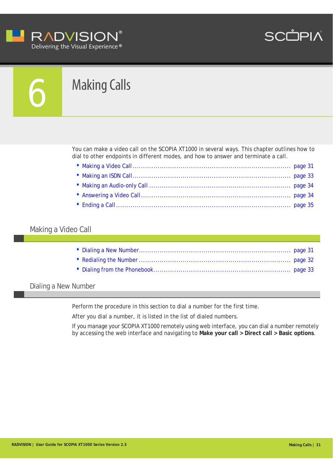

*6*



# <span id="page-29-0"></span>Making Calls

You can make a video call on the SCOPIA XT1000 in several ways. This chapter outlines how to dial to other endpoints in different modes, and how to answer and terminate a call.

## <span id="page-29-3"></span><span id="page-29-1"></span>Making a Video Call

#### <span id="page-29-2"></span>Dialing a New Number

Perform the procedure in this section to dial a number for the first time.

After you dial a number, it is listed in the list of dialed numbers.

If you manage your SCOPIA XT1000 remotely using web interface, you can dial a number remotely by accessing the web interface and navigating to **Make your call > Direct call > Basic options**.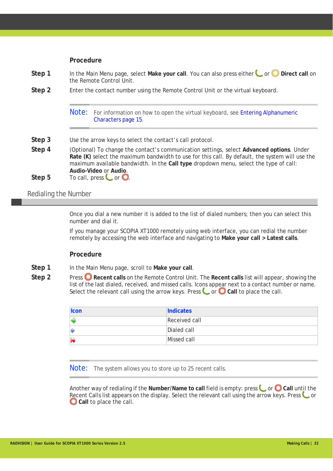#### **Procedure**

- **Step 1** In the Main Menu page, select Make your call. You can also press either or **Direct call** on the Remote Control Unit.
- **Step 2** Enter the contact number using the Remote Control Unit or the virtual keyboard.

Note: For information on how to open the virtual keyboard, see Entering Alphanumeric [Characters page 15.](#page-16-4)

- **Step 3** Use the arrow keys to select the contact's call protocol.
- **Step 4** (Optional) To change the contact's communication settings, select **Advanced options**. Under **Rate (K)** select the maximum bandwidth to use for this call. By default, the system will use the maximum available bandwidth. In the **Call type** dropdown menu, select the type of call: **Audio-Video** or **Audio**.
- **Step 5** To call, press  $\Box$  or  $\Box$ .

#### <span id="page-30-0"></span>Redialing the Number

Once you dial a new number it is added to the list of dialed numbers; then you can select this number and dial it.

If you manage your SCOPIA XT1000 remotely using web interface, you can redial the number remotely by accessing the web interface and navigating to **Make your call > Latest calls**.

#### **Procedure**

- **Step 1** In the Main Menu page, scroll to Make your call.
- **Step 2** Press **Recent calls** on the Remote Control Unit. The Recent calls list will appear, showing the list of the last dialed, received, and missed calls. Icons appear next to a contact number or name. Select the relevant call using the arrow keys. Press  $\Box$  or  $\Box$  Call to place the call.

| <b>Icon</b> | Indicates     |
|-------------|---------------|
|             | Received call |
|             | Dialed call   |
|             | Missed call   |

Note: The system allows you to store up to 25 recent calls.

Another way of redialing if the **Number/Name to call** field is empty: press **C** or **Call** until the Recent Calls list appears on the display. Select the relevant call using the arrow keys. Press  $\Box$  or **Call** to place the call.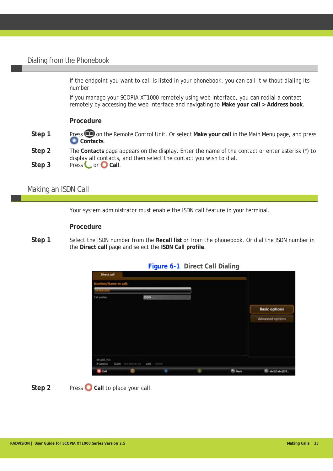<span id="page-31-0"></span>If the endpoint you want to call is listed in your phonebook, you can call it without dialing its number.

If you manage your SCOPIA XT1000 remotely using web interface, you can redial a contact remotely by accessing the web interface and navigating to **Make your call > Address book**.

#### **Procedure**

- Step 1 Press **1** on the Remote Control Unit. Or select Make your call in the Main Menu page, and press Contacts.
- **Step 2** The **Contacts** page appears on the display. Enter the name of the contact or enter asterisk (\*) to display all contacts, and then select the contact you wish to dial.
- **Step 3** Press **C** or **C** Call.

#### <span id="page-31-1"></span>Making an ISDN Call

Your system administrator must enable the ISDN call feature in your terminal.

#### **Procedure**

**Step 1** Select the ISDN number from the **Recall list** or from the phonebook. Or dial the ISDN number in the **Direct call** page and select the **ISDN Call profile**.

|                        |                         | Figure 6-1 Direct Call Dialing |                |                         |
|------------------------|-------------------------|--------------------------------|----------------|-------------------------|
| <b>Direct call</b>     |                         |                                |                |                         |
| Number/Name to call:   |                         |                                |                |                         |
| <b>STEERED</b>         |                         |                                |                |                         |
| Call profiles          | <b>ISDN</b>             |                                |                |                         |
|                        |                         |                                |                | <b>Basic options</b>    |
|                        |                         |                                |                | <b>Advanced options</b> |
|                        |                         |                                |                |                         |
|                        |                         |                                |                |                         |
|                        |                         |                                |                |                         |
|                        |                         |                                |                |                         |
| WT1000_PCA<br>Paddress | GLAN INFINIERS LAN 2300 |                                |                |                         |
| Call                   |                         | œ                              | <b>Co Back</b> | abc1[1abc]123           |

**Step 2** Press **C** Call to place your call.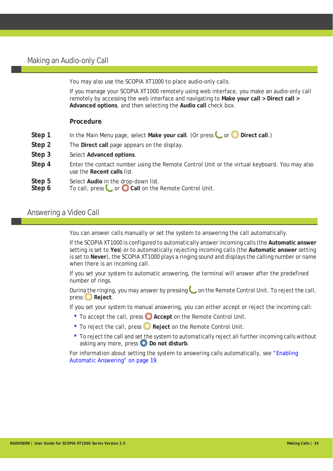<span id="page-32-0"></span>You may also use the SCOPIA XT1000 to place audio-only calls.

If you manage your SCOPIA XT1000 remotely using web interface, you make an audio-only call remotely by accessing the web interface and navigating to **Make your call > Direct call > Advanced options**, and then selecting the **Audio call** check box.

#### **Procedure**

- **Step 1** In the Main Menu page, select Make your call. (Or press  $\Box$  or  $\Box$  Direct call.)
- **Step 2** The **Direct call** page appears on the display.
- **Step 3** Select **Advanced options**.
- **Step 4** Enter the contact number using the Remote Control Unit or the virtual keyboard. You may also use the **Recent calls** list.
- **Step 5** Select **Audio** in the drop-down list.
- **Step 6** To call, press or **Call** on the Remote Control Unit.

#### <span id="page-32-1"></span>Answering a Video Call

You can answer calls manually or set the system to answering the call automatically.

If the SCOPIA XT1000 is configured to automatically answer incoming calls (the **Automatic answer** setting is set to **Yes**) or to automatically rejecting incoming calls (the **Automatic answer** setting is set to **Never**), the SCOPIA XT1000 plays a ringing sound and displays the calling number or name when there is an incoming call.

If you set your system to automatic answering, the terminal will answer after the predefined number of rings.

During the ringing, you may answer by pressing  $\Box$  on the Remote Control Unit. To reject the call, press **Reject**.

If you set your system to manual answering, you can either accept or reject the incoming call:

- To accept the call, press **Accept** on the Remote Control Unit.
- To reject the call, press **Reject** on the Remote Control Unit.
- To reject the call and set the system to automatically reject all further incoming calls without asking any more, press **D** Do not disturb.

For information about setting the system to answering calls automatically, see ["Enabling](#page-19-2)  [Automatic Answering" on page 19.](#page-19-2)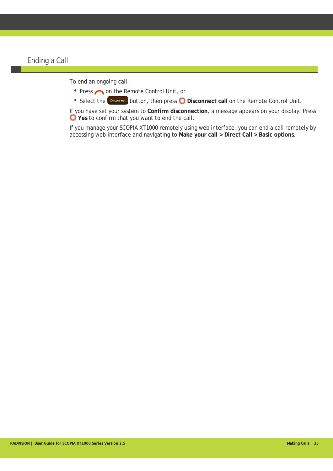# <span id="page-33-0"></span>Ending a Call

To end an ongoing call:

- Press on the Remote Control Unit, or
- Select the **Disconnect** button, then press **Disconnect call** on the Remote Control Unit.

If you have set your system to **Confirm disconnection**, a message appears on your display. Press **Yes** to confirm that you want to end the call.

If you manage your SCOPIA XT1000 remotely using web interface, you can end a call remotely by accessing web interface and navigating to **Make your call > Direct Call > Basic options**.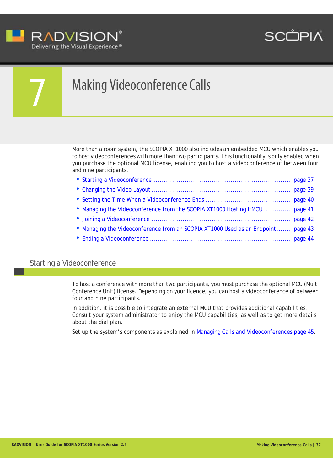

*7*



# <span id="page-34-0"></span>Making Videoconference Calls

More than a room system, the SCOPIA XT1000 also includes an embedded MCU which enables you to host videoconferences with more than two participants. This functionality is only enabled when you purchase the optional MCU license, enabling you to host a videoconference of between four and nine participants.

| • Managing the Videoconference from the SCOPIA XT1000 Hosting ItMCU  page 41     |  |
|----------------------------------------------------------------------------------|--|
|                                                                                  |  |
| • Managing the Videoconference from an SCOPIA XT1000 Used as an Endpoint page 43 |  |
|                                                                                  |  |
|                                                                                  |  |

#### <span id="page-34-1"></span>Starting a Videoconference

To host a conference with more than two participants, you must purchase the optional MCU (Multi Conference Unit) license. Depending on your licence, you can host a videoconference of between four and nine participants.

In addition, it is possible to integrate an external MCU that provides additional capabilities. Consult your system administrator to enjoy the MCU capabilities, as well as to get more details about the dial plan.

Set up the system's components as explained in [Managing Calls and Videoconferences page 45](#page-42-3).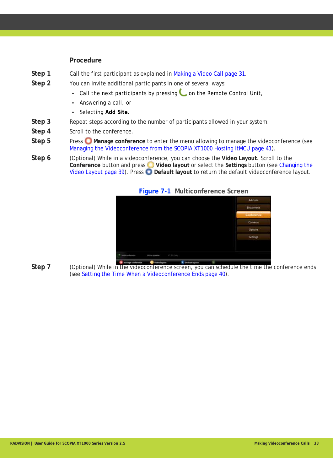#### **Procedure**

- **Step 1** Call the first participant as explained in [Making a Video Call page 31](#page-29-3).
- **Step 2** You can invite additional participants in one of several ways:
	- Call the next participants by pressing on the Remote Control Unit,
	- **•** Answering a call, or
	- **•** Selecting **Add Site**.
- **Step 3** Repeat steps according to the number of participants allowed in your system.
- **Step 4** Scroll to the conference.
- **Step 5** Press Manage conference to enter the menu allowing to manage the videoconference (see [Managing the Videoconference from the SCOPIA XT1000 Hosting ItMCU page 41](#page-38-0)).
- **Step 6** (Optional) While in a videoconference, you can choose the **Video Layout**. Scroll to the **Conference** button and press **Video layout** or select the **Settings** button (see [Changing the](#page-36-0)  [Video Layout page 39\)](#page-36-0). Press **Default layout** to return the default videoconference layout.





**Step 7** (Optional) While in the videoconference screen, you can schedule the time the conference ends (see [Setting the Time When a Videoconference Ends page 40\)](#page-37-0).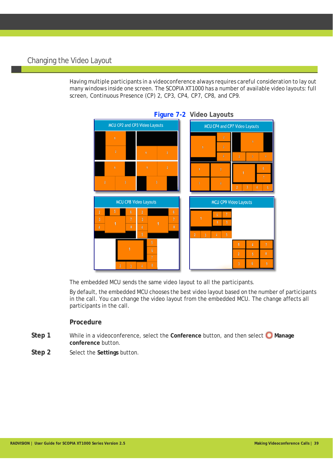<span id="page-36-0"></span>Having multiple participants in a videoconference always requires careful consideration to lay out many windows inside one screen. The SCOPIA XT1000 has a number of available video layouts: full screen, Continuous Presence (CP) 2, CP3, CP4, CP7, CP8, and CP9.



The embedded MCU sends the same video layout to all the participants.

By default, the embedded MCU chooses the best video layout based on the number of participants in the call. You can change the video layout from the embedded MCU. The change affects all participants in the call.

#### **Procedure**

- **Step 1** While in a videoconference, select the **Conference** button, and then select **Manage conference** button.
- **Step 2** Select the **Settings** button.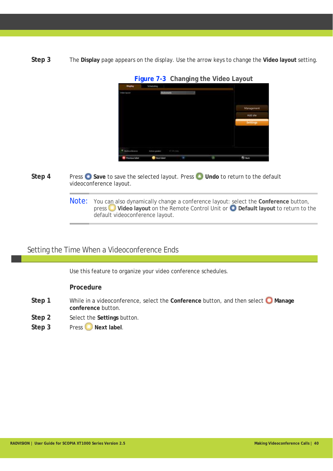**Step 3** The **Display** page appears on the display. Use the arrow keys to change the **Video layout** setting.



**Figure 7-3 Changing the Video Layout**

- **Step 4** Press Save to save the selected layout. Press Undo to return to the default videoconference layout.
	- Note: You can also dynamically change a conference layout: select the **Conference** button, press **Video layout** on the Remote Control Unit or **Default layout** to return to the default videoconference layout.

# <span id="page-37-0"></span>Setting the Time When a Videoconference Ends

Use this feature to organize your video conference schedules.

#### **Procedure**

- **Step 1** While in a videoconference, select the **Conference** button, and then select **Manage conference** button.
- **Step 2** Select the **Settings** button.
- **Step 3** Press **Next label.**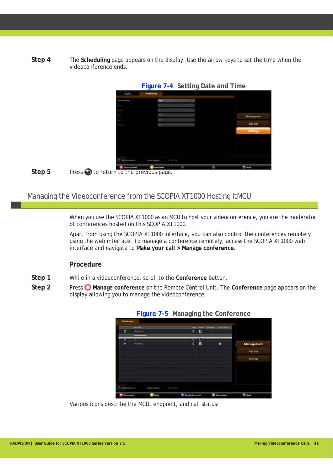**Step 4** The **Scheduling** page appears on the display. Use the arrow keys to set the time when the videoconference ends.





**Step 5** Press **O** to return to the previous page.

## <span id="page-38-0"></span>Managing the Videoconference from the SCOPIA XT1000 Hosting ItMCU

When you use the SCOPIA XT1000 as an MCU to host your videoconference, you are the moderator of conferences hosted on this SCOPIA XT1000.

Apart from using the SCOPIA XT1000 interface, you can also control the conferences remotely using the web interface. To manage a conference remotely, access the SCOPIA XT1000 web interface and navigate to **Make your call > Manage conference**.

#### **Procedure**

- **Step 1** While in a videoconference, scroll to the **Conference** button.
- **Step 2** Press **Manage conference** on the Remote Control Unit. The Conference page appears on the display allowing you to manage the videoconference.



Various icons describe the MCU, endpoint, and call status: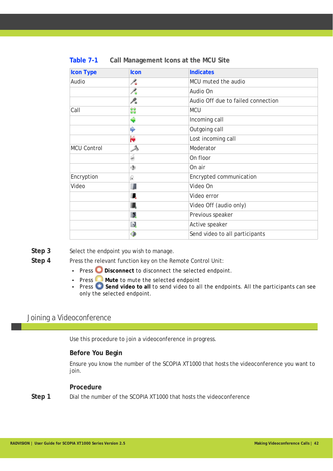| <b>Icon Type</b>   | <b>Icon</b>                    | <b>Indicates</b>                   |  |
|--------------------|--------------------------------|------------------------------------|--|
| Audio              | P.                             | MCU muted the audio                |  |
|                    | P.                             | Audio On                           |  |
|                    | ∕°                             | Audio Off due to failed connection |  |
| Call               | 88                             | <b>MCU</b>                         |  |
|                    |                                | Incoming call                      |  |
|                    | ♦                              | Outgoing call                      |  |
|                    | К                              | Lost incoming call                 |  |
| <b>MCU Control</b> | A                              | Moderator                          |  |
|                    |                                | On floor                           |  |
|                    | $\langle \hat{\Omega} \rangle$ | On air                             |  |
| Encryption         | Q                              | Encrypted communication            |  |
| Video              |                                | Video On                           |  |
|                    |                                | Video error                        |  |
|                    |                                | Video Off (audio only)             |  |
|                    | ۵                              | Previous speaker                   |  |
|                    | $\Omega$                       | Active speaker                     |  |
|                    | o                              | Send video to all participants     |  |
|                    |                                |                                    |  |

#### **Table 7-1 Call Management Icons at the MCU Site**

- **Step 3** Select the endpoint you wish to manage.
- **Step 4** Press the relevant function key on the Remote Control Unit:
	- **•** Press **Disconnect** to disconnect the selected endpoint.
	- **•** Press **Mute** to mute the selected endpoint
	- Press **Send video to all** to send video to all the endpoints. All the participants can see only the selected endpoint.

## <span id="page-39-0"></span>Joining a Videoconference

Use this procedure to join a videoconference in progress.

#### **Before You Begin**

Ensure you know the number of the SCOPIA XT1000 that hosts the videoconference you want to join.

#### **Procedure**

**Step 1** Dial the number of the SCOPIA XT1000 that hosts the videoconference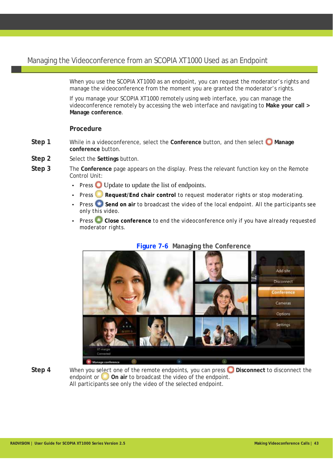# <span id="page-40-0"></span>Managing the Videoconference from an SCOPIA XT1000 Used as an Endpoint

When you use the SCOPIA XT1000 as an endpoint, you can request the moderator's rights and manage the videoconference from the moment you are granted the moderator's rights.

If you manage your SCOPIA XT1000 remotely using web interface, you can manage the videoconference remotely by accessing the web interface and navigating to **Make your call > Manage conference**.

#### **Procedure**

- **Step 1** While in a videoconference, select the **Conference** button, and then select **Manage conference** button.
- **Step 2** Select the **Settings** button.
- **Step 3** The **Conference** page appears on the display. Press the relevant function key on the Remote Control Unit:
	- Press Update to update the list of endpoints.
	- Press **Request/End chair control** to request moderator rights or stop moderating.
	- Press **Send on air** to broadcast the video of the local endpoint. All the participants see only this video.
	- **•** Press **Close conference** to end the videoconference only if you have already requested moderator rights.



#### **Figure 7-6 Managing the Conference**

**Step 4** When you select one of the remote endpoints, you can press **Disconnect** to disconnect the endpoint or **O** On air to broadcast the video of the endpoint. All participants see only the video of the selected endpoint.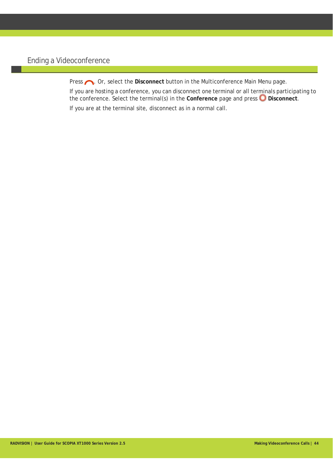# <span id="page-41-0"></span>Ending a Videoconference

Press **.** Or, select the Disconnect button in the Multiconference Main Menu page.

If you are hosting a conference, you can disconnect one terminal or all terminals participating to the conference. Select the terminal(s) in the **Conference** page and press **Disconnect**.

If you are at the terminal site, disconnect as in a normal call.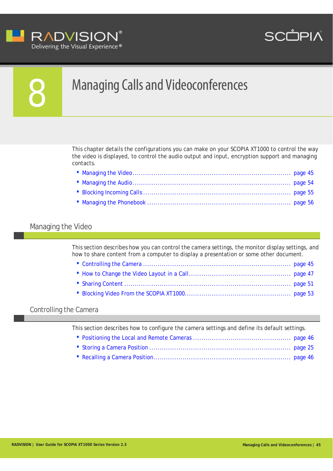

*8*



# <span id="page-42-3"></span><span id="page-42-0"></span>Managing Calls and Videoconferences

This chapter details the configurations you can make on your SCOPIA XT1000 to control the way the video is displayed, to control the audio output and input, encryption support and managing contacts.

## <span id="page-42-1"></span>Managing the Video

This section describes how you can control the camera settings, the monitor display settings, and how to share content from a computer to display a presentation or some other document.

#### <span id="page-42-2"></span>Controlling the Camera

This section describes how to configure the camera settings and define its default settings.

• [Positioning the Local and Remote Cameras ............................................... page 46](#page-43-0) • [Storing a Camera Position .................................................................... page 25](#page-24-2) • [Recalling a Camera Position.................................................................. page 46](#page-43-1)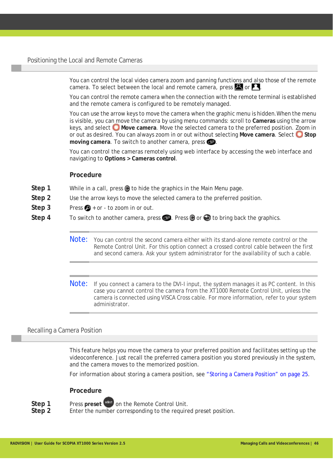<span id="page-43-3"></span><span id="page-43-0"></span>You can control the local video camera zoom and panning functions and also those of the remote camera. To select between the local and remote camera, press  $\mathcal{A}$  or  $\mathcal{A}$ .

You can control the remote camera when the connection with the remote terminal is established and the remote camera is configured to be remotely managed.

You can use the arrow keys to move the camera when the graphic menu is hidden.When the menu is visible, you can move the camera by using menu commands: scroll to **Cameras** using the arrow keys, and select **Move camera**. Move the selected camera to the preferred position. Zoom in or out as desired. You can always zoom in or out without selecting **Move camera**. Select **Stop moving camera**. To switch to another camera, press  $\blacksquare$ .

You can control the cameras remotely using web interface by accessing the web interface and navigating to **Options > Cameras control**.

#### **Procedure**

- **Step 1** While in a call, press **O** to hide the graphics in the Main Menu page.
- **Step 2** Use the arrow keys to move the selected camera to the preferred position.
- **Step 3** Press  $\bullet$  + or to zoom in or out.
- Step 4 To switch to another camera, press **3**. Press **O** or to bring back the graphics.

Note: You can control the second camera either with its stand-alone remote control or the Remote Control Unit. For this option connect a crossed control cable between the first and second camera. Ask your system administrator for the availability of such a cable.

Note: If you connect a camera to the DVI-I input, the system manages it as PC content. In this case you cannot control the camera from the XT1000 Remote Control Unit, unless the camera is connected using VISCA Cross cable. For more information, refer to your system administrator.

#### <span id="page-43-2"></span><span id="page-43-1"></span>Recalling a Camera Position

This feature helps you move the camera to your preferred position and facilitates setting up the videoconference. Just recall the preferred camera position you stored previously in the system, and the camera moves to the memorized position.

For information about storing a camera position, see ["Storing a Camera Position" on page 25.](#page-24-2)

#### **Procedure**

- **Step 1** Press preset set on the Remote Control Unit.
- **Step 2** Enter the number corresponding to the required preset position.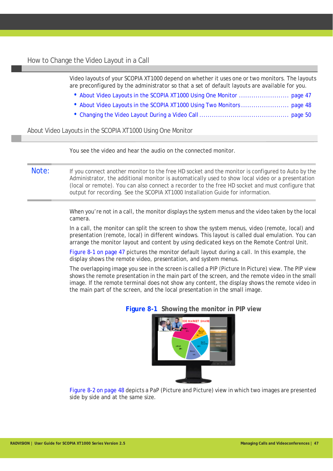<span id="page-44-0"></span>How to Change the Video Layout in a Call

Video layouts of your SCOPIA XT1000 depend on whether it uses one or two monitors. The layouts are preconfigured by the administrator so that a set of default layouts are available for you.

- [About Video Layouts in the SCOPIA XT1000 Using One Monitor ........................ page 47](#page-44-1)
- [About Video Layouts in the SCOPIA XT1000 Using Two Monitors ....................... page 48](#page-45-0)
- [Changing the Video Layout During a Video Call ........................................... page 50](#page-47-0)

<span id="page-44-1"></span>About Video Layouts in the SCOPIA XT1000 Using One Monitor

You see the video and hear the audio on the connected monitor.

Note: If you connect another monitor to the free HD socket and the monitor is configured to Auto by the Administrator, the additional monitor is automatically used to show local video or a presentation (local or remote). You can also connect a recorder to the free HD socket and must configure that output for recording. See the SCOPIA XT1000 Installation Guide for information.

> When you're not in a call, the monitor displays the system menus and the video taken by the local camera.

> In a call, the monitor can split the screen to show the system menus, video (remote, local) and presentation (remote, local) in different windows. This layout is called dual emulation. You can arrange the monitor layout and content by using dedicated keys on the Remote Control Unit.

[Figure 8-1 on page 47](#page-44-2) pictures the monitor default layout during a call. In this example, the display shows the remote video, presentation, and system menus.

<span id="page-44-2"></span>The overlapping image you see in the screen is called a PIP (Picture In Picture) view. The PIP view shows the remote presentation in the main part of the screen, and the remote video in the small image. If the remote terminal does not show any content, the display shows the remote video in the main part of the screen, and the local presentation in the small image.



**Figure 8-1 Showing the monitor in PIP view**

[Figure 8-2 on page 48](#page-45-1) depicts a PaP (Picture and Picture) view in which two images are presented side by side and at the same size.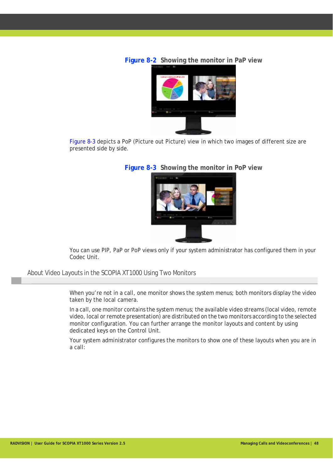

<span id="page-45-1"></span>**Figure 8-2 Showing the monitor in PaP view**

<span id="page-45-2"></span>[Figure 8-3](#page-45-2) depicts a PoP (Picture out Picture) view in which two images of different size are presented side by side.



#### **Figure 8-3 Showing the monitor in PoP view**

You can use PIP, PaP or PoP views only if your system administrator has configured them in your Codec Unit.

<span id="page-45-0"></span>About Video Layouts in the SCOPIA XT1000 Using Two Monitors

When you're not in a call, one monitor shows the system menus; both monitors display the video taken by the local camera.

In a call, one monitor contains the system menus; the available video streams (local video, remote video, local or remote presentation) are distributed on the two monitors according to the selected monitor configuration. You can further arrange the monitor layouts and content by using dedicated keys on the Control Unit.

Your system administrator configures the monitors to show one of these layouts when you are in a call: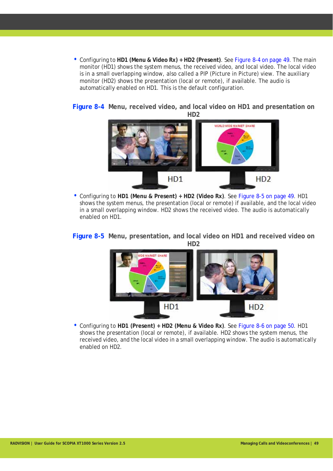• Configuring to **HD1 (Menu & Video Rx) + HD2 (Present)**. See [Figure 8-4 on page 49.](#page-46-0) The main monitor (HD1) shows the system menus, the received video, and local video. The local video is in a small overlapping window, also called a PIP (Picture in Picture) view. The auxiliary monitor (HD2) shows the presentation (local or remote), if available. The audio is automatically enabled on HD1. This is the default configuration.

<span id="page-46-0"></span>**Figure 8-4 Menu, received video, and local video on HD1 and presentation on HD2**



• Configuring to **HD1 (Menu & Present) + HD2 (Video Rx)**. See [Figure 8-5 on page 49.](#page-46-1) HD1 shows the system menus, the presentation (local or remote) if available, and the local video in a small overlapping window. HD2 shows the received video. The audio is automatically enabled on HD1.

<span id="page-46-1"></span>**Figure 8-5 Menu, presentation, and local video on HD1 and received video on HD2**



• Configuring to **HD1 (Present) + HD2 (Menu & Video Rx)**. See [Figure 8-6 on page 50.](#page-47-1) HD1 shows the presentation (local or remote), if available. HD2 shows the system menus, the received video, and the local video in a small overlapping window. The audio is automatically enabled on HD2.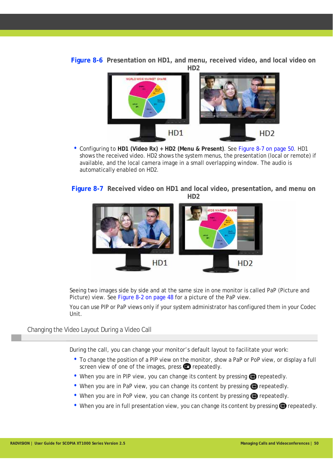<span id="page-47-1"></span>**Figure 8-6 Presentation on HD1, and menu, received video, and local video on HD2**



• Configuring to **HD1 (Video Rx) + HD2 (Menu & Present)**. See [Figure 8-7 on page 50.](#page-47-2) HD1 shows the received video. HD2 shows the system menus, the presentation (local or remote) if available, and the local camera image in a small overlapping window. The audio is automatically enabled on HD2.

<span id="page-47-2"></span>**Figure 8-7 Received video on HD1 and local video, presentation, and menu on HD2**



Seeing two images side by side and at the same size in one monitor is called PaP (Picture and Picture) view. See [Figure 8-2 on page 48](#page-45-1) for a picture of the PaP view.

You can use PIP or PaP views only if your system administrator has configured them in your Codec Unit.

<span id="page-47-0"></span>Changing the Video Layout During a Video Call

During the call, you can change your monitor's default layout to facilitate your work:

- To change the position of a PIP view on the monitor, show a PaP or PoP view, or display a full screen view of one of the images, press  $\blacksquare$  repeatedly.
- When you are in PIP view, you can change its content by pressing  $\bigcirc$  repeatedly.
- When you are in PaP view, you can change its content by pressing  $\bigcirc$  repeatedly.
- When you are in PoP view, you can change its content by pressing  $\Box$  repeatedly.
- When you are in full presentation view, you can change its content by pressing  $\bigcirc$  repeatedly.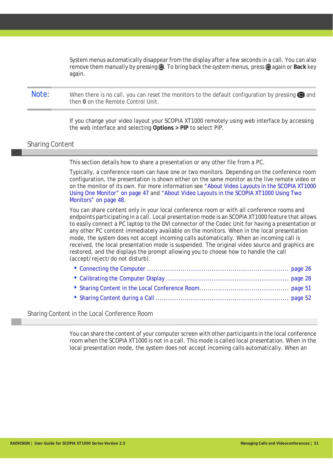<span id="page-48-0"></span>

|                        | System menus automatically disappear from the display after a few seconds in a call. You can also<br>remove them manually by pressing <b>O</b> . To bring back the system menus, press <b>O</b> again or Back key<br>again.                                                                                                                                                                                                                                                                                                                                                                                                                                                                                               |
|------------------------|---------------------------------------------------------------------------------------------------------------------------------------------------------------------------------------------------------------------------------------------------------------------------------------------------------------------------------------------------------------------------------------------------------------------------------------------------------------------------------------------------------------------------------------------------------------------------------------------------------------------------------------------------------------------------------------------------------------------------|
| Note:                  | When there is no call, you can reset the monitors to the default configuration by pressing $\bigodot$ and<br>then 0 on the Remote Control Unit.                                                                                                                                                                                                                                                                                                                                                                                                                                                                                                                                                                           |
|                        | If you change your video layout your SCOPIA XT1000 remotely using web interface by accessing<br>the web interface and selecting Options > PIP to select PIP.                                                                                                                                                                                                                                                                                                                                                                                                                                                                                                                                                              |
| <b>Sharing Content</b> |                                                                                                                                                                                                                                                                                                                                                                                                                                                                                                                                                                                                                                                                                                                           |
|                        |                                                                                                                                                                                                                                                                                                                                                                                                                                                                                                                                                                                                                                                                                                                           |
|                        | This section details how to share a presentation or any other file from a PC.                                                                                                                                                                                                                                                                                                                                                                                                                                                                                                                                                                                                                                             |
|                        | Typically, a conference room can have one or two monitors. Depending on the conference room<br>configuration, the presentation is shown either on the same monitor as the live remote video or<br>on the monitor of its own. For more information see "About Video Layouts in the SCOPIA XT1000<br>Using One Monitor" on page 47 and "About Video Layouts in the SCOPIA XT1000 Using Two<br>Monitors" on page 48.                                                                                                                                                                                                                                                                                                         |
|                        | You can share content only in your local conference room or with all conference rooms and<br>endpoints participating in a call. Local presentation mode is an SCOPIA XT1000 feature that allows<br>to easily connect a PC laptop to the DVI connector of the Codec Unit for having a presentation or<br>any other PC content immediately available on the monitors. When in the local presentation<br>mode, the system does not accept incoming calls automatically. When an incoming call is<br>received, the local presentation mode is suspended. The original video source and graphics are<br>restored, and the displays the prompt allowing you to choose how to handle the call<br>(accept/reject/do not disturb). |
|                        |                                                                                                                                                                                                                                                                                                                                                                                                                                                                                                                                                                                                                                                                                                                           |
|                        |                                                                                                                                                                                                                                                                                                                                                                                                                                                                                                                                                                                                                                                                                                                           |

- [Calibrating the Computer Display ........................................................... page 28](#page-27-1) • [Sharing Content in the Local Conference Room........................................... page 51](#page-48-1)
- [Sharing Content during a Call ................................................................ page 52](#page-49-0)

<span id="page-48-1"></span>Sharing Content in the Local Conference Room

You can share the content of your computer screen with other participants in the local conference room when the SCOPIA XT1000 is not in a call. This mode is called local presentation. When in the local presentation mode, the system does not accept incoming calls automatically. When an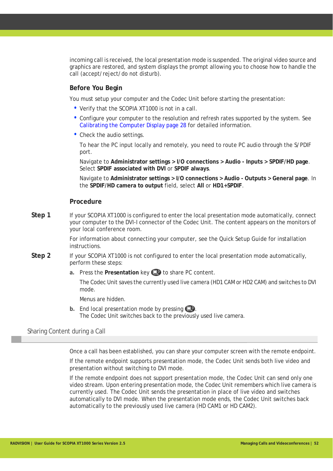incoming call is received, the local presentation mode is suspended. The original video source and graphics are restored, and system displays the prompt allowing you to choose how to handle the call (accept/reject/do not disturb).

#### **Before You Begin**

You must setup your computer and the Codec Unit before starting the presentation:

- Verify that the SCOPIA XT1000 is not in a call.
- Configure your computer to the resolution and refresh rates supported by the system. See [Calibrating the Computer Display page 28](#page-27-1) for detailed information.
- Check the audio settings.

To hear the PC input locally and remotely, you need to route PC audio through the S/PDIF port.

Navigate to **Administrator settings > I/O connections > Audio - Inputs > SPDIF/HD page**. Select **SPDIF associated with DVI** or **SPDIF always**.

Navigate to **Administrator settings > I/O connections > Audio - Outputs > General page**. In the **SPDIF/HD camera to output** field, select **All** or **HD1+SPDIF**.

#### **Procedure**

**Step 1** If your SCOPIA XT1000 is configured to enter the local presentation mode automatically, connect your computer to the DVI-I connector of the Codec Unit. The content appears on the monitors of your local conference room.

> For information about connecting your computer, see the *Quick Setup Guide* for installation instructions.

- **Step 2** If your SCOPIA XT1000 is not configured to enter the local presentation mode automatically, perform these steps:
	- a. Press the **Presentation** key **to share PC** content.

The Codec Unit saves the currently used live camera (HD1 CAM or HD2 CAM) and switches to DVI mode.

Menus are hidden.

**b.** End local presentation mode by pressing  $\blacksquare$ . The Codec Unit switches back to the previously used live camera.

#### <span id="page-49-0"></span>Sharing Content during a Call

Once a call has been established, you can share your computer screen with the remote endpoint.

If the remote endpoint supports presentation mode, the Codec Unit sends both live video and presentation without switching to DVI mode.

If the remote endpoint does not support presentation mode, the Codec Unit can send only one video stream. Upon entering presentation mode, the Codec Unit remembers which live camera is currently used. The Codec Unit sends the presentation in place of live video and switches automatically to DVI mode. When the presentation mode ends, the Codec Unit switches back automatically to the previously used live camera (HD CAM1 or HD CAM2).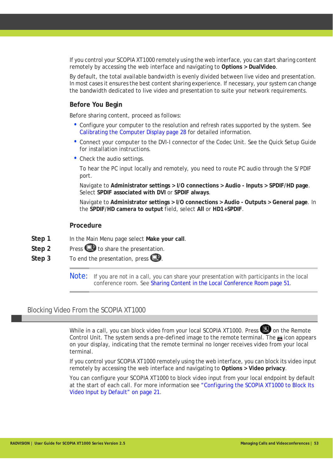If you control your SCOPIA XT1000 remotely using the web interface, you can start sharing content remotely by accessing the web interface and navigating to **Options > DualVideo**.

By default, the total available bandwidth is evenly divided between live video and presentation. In most cases it ensures the best content sharing experience. If necessary, your system can change the bandwidth dedicated to live video and presentation to suite your network requirements.

#### **Before You Begin**

Before sharing content, proceed as follows:

- Configure your computer to the resolution and refresh rates supported by the system. See [Calibrating the Computer Display page 28](#page-27-1) for detailed information.
- Connect your computer to the DVI-I connector of the Codec Unit. See the *Quick Setup Guide* for installation instructions.
- Check the audio settings.

To hear the PC input locally and remotely, you need to route PC audio through the S/PDIF port.

Navigate to **Administrator settings > I/O connections > Audio - Inputs > SPDIF/HD page**. Select **SPDIF associated with DVI** or **SPDIF always**.

Navigate to **Administrator settings > I/O connections > Audio - Outputs > General page**. In the **SPDIF/HD camera to output** field, select **All** or **HD1+SPDIF**.

#### **Procedure**

- **Step 1** In the Main Menu page select **Make your call**.
- **Step 2** Press **D** to share the presentation.
- **Step 3** To end the presentation, press  $\mathbb{C}$ .

Note: If you are not in a call, you can share your presentation with participants in the local conference room. See [Sharing Content in the Local Conference Room page 51](#page-48-1).

#### <span id="page-50-0"></span>Blocking Video From the SCOPIA XT1000

While in a call, you can block video from your local SCOPIA XT1000. Press  $\Box$  on the Remote Control Unit. The system sends a pre-defined image to the remote terminal. The  $\blacksquare$  icon appears on your display, indicating that the remote terminal no longer receives video from your local terminal.

If you control your SCOPIA XT1000 remotely using the web interface, you can block its video input remotely by accessing the web interface and navigating to **Options > Video privacy**.

You can configure your SCOPIA XT1000 to block video input from your local endpoint by default at the start of each call. For more information see ["Configuring the SCOPIA XT1000 to Block Its](#page-21-2)  [Video Input by Default" on page 21.](#page-21-2)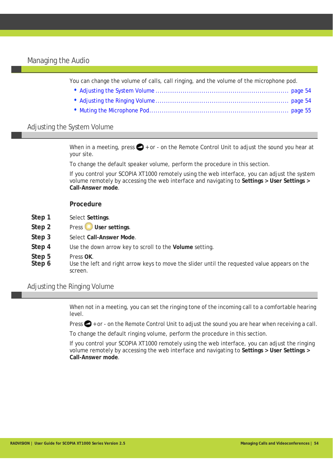#### <span id="page-51-0"></span>Managing the Audio

You can change the volume of calls, call ringing, and the volume of the microphone pod.

- [Adjusting the System Volume ................................................................ page 54](#page-51-1)
- [Adjusting the Ringing Volume................................................................ page 54](#page-51-2)
- [Muting the Microphone Pod................................................................... page 55](#page-52-0)

#### <span id="page-51-1"></span>Adjusting the System Volume

When in a meeting, press  $\bigcirc$  + or - on the Remote Control Unit to adjust the sound you hear at your site.

To change the default speaker volume, perform the procedure in this section.

If you control your SCOPIA XT1000 remotely using the web interface, you can adjust the system volume remotely by accessing the web interface and navigating to **Settings > User Settings > Call-Answer mode**.

#### **Procedure**

- **Step 1** Select **Settings**.
- **Step 2** Press **User settings**.
- **Step 3** Select **Call-Answer Mode**.
- **Step 4** Use the down arrow key to scroll to the **Volume** setting.
- **Step 5** Press **OK**.
- **Step 6** Use the left and right arrow keys to move the slider until the requested value appears on the screen.

#### <span id="page-51-2"></span>Adjusting the Ringing Volume

When not in a meeting, you can set the ringing tone of the incoming call to a comfortable hearing level.

Press  $\blacktriangleleft$  + or - on the Remote Control Unit to adjust the sound you are hear when receiving a call.

To change the default ringing volume, perform the procedure in this section.

If you control your SCOPIA XT1000 remotely using the web interface, you can adjust the ringing volume remotely by accessing the web interface and navigating to **Settings > User Settings > Call-Answer mode**.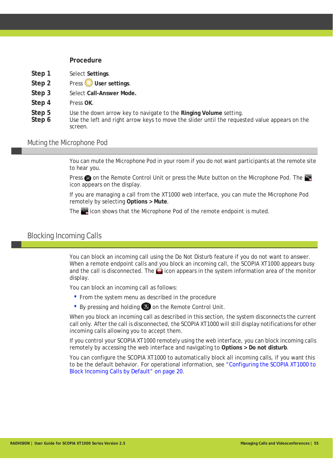#### **Procedure**

- **Step 1** Select **Settings**.
- **Step 2** Press **User settings**.
- **Step 3** Select **Call-Answer Mode.**
- **Step 4** Press **OK**.
- **Step 5** Use the down arrow key to navigate to the **Ringing Volume** setting.
- **Step 6** Use the left and right arrow keys to move the slider until the requested value appears on the screen.

#### <span id="page-52-0"></span>Muting the Microphone Pod

You can mute the Microphone Pod in your room if you do not want participants at the remote site to hear you.

Press  $\bullet$  on the Remote Control Unit or press the Mute button on the Microphone Pod. The  $\bullet$ icon appears on the display.

If you are managing a call from the XT1000 web interface, you can mute the Microphone Pod remotely by selecting **Options > Mute**.

The section shows that the Microphone Pod of the remote endpoint is muted.

#### <span id="page-52-2"></span><span id="page-52-1"></span>Blocking Incoming Calls

You can block an incoming call using the Do Not Disturb feature if you do not want to answer. When a remote endpoint calls and you block an incoming call, the SCOPIA XT1000 appears busy and the call is disconnected. The  $\Box$  icon appears in the system information area of the monitor display.

You can block an incoming call as follows:

- From the system menu as described in the procedure
- $\bullet$  By pressing and holding  $\bullet$  on the Remote Control Unit.

When you block an incoming call as described in this section, the system disconnects the current call only. After the call is disconnected, the SCOPIA XT1000 will still display notifications for other incoming calls allowing you to accept them.

If you control your SCOPIA XT1000 remotely using the web interface, you can block incoming calls remotely by accessing the web interface and navigating to **Options > Do not disturb**.

You can configure the SCOPIA XT1000 to automatically block all incoming calls, if you want this to be the default behavior. For operational information, see ["Configuring the SCOPIA XT1000 to](#page-20-2)  [Block Incoming Calls by Default" on page 20.](#page-20-2)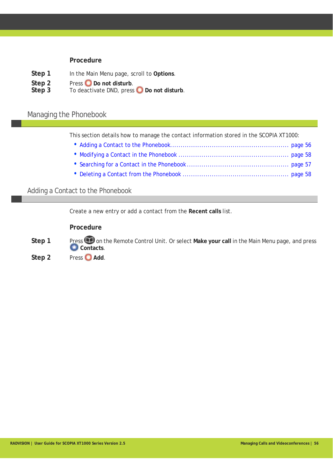#### **Procedure**

- **Step 1** In the Main Menu page, scroll to Options.
- **Step 2** Press Do not disturb.<br> **Step 3** To deactivate DND, press To deactivate DND, press **D** Do not disturb.

## <span id="page-53-0"></span>Managing the Phonebook

This section details how to manage the contact information stored in the SCOPIA XT1000:

#### <span id="page-53-1"></span>Adding a Contact to the Phonebook

Create a new entry or add a contact from the **Recent calls** list.

#### **Procedure**

Step 1 Press **1** On the Remote Control Unit. Or select Make your call in the Main Menu page, and press **Contacts**.

**Step 2** Press **Add.**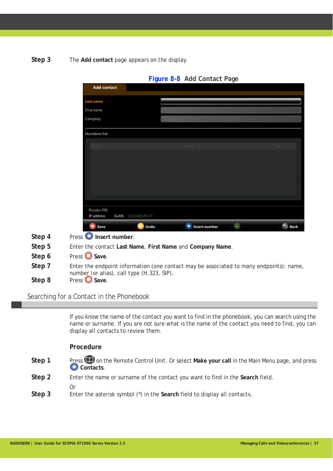**Step 3** The **Add contact** page appears on the display.

| ٠<br>Save                 | Undo                | $\rightarrow$<br><b>Insert number</b> | Œ, | <b>D</b> Back |
|---------------------------|---------------------|---------------------------------------|----|---------------|
| Piccolo-7F0<br>IP address | GLAN 192.168.187.27 |                                       |    |               |
|                           |                     |                                       |    |               |
|                           |                     |                                       |    |               |
|                           |                     |                                       |    |               |
|                           |                     |                                       |    |               |
|                           |                     |                                       |    |               |
|                           |                     |                                       |    |               |
| Numbers list              |                     |                                       |    |               |
| Company                   |                     |                                       |    |               |
| First name                |                     |                                       |    |               |
| Last name                 |                     |                                       |    |               |
| <b>Add contact</b>        |                     |                                       |    |               |

**Figure 8-8 Add Contact Page**

**Step 4** Press **Insert number.** 

- **Step 5** Enter the contact **Last Name**, **First Name** and **Company Name**.
- **Step 6** Press Save.
- **Step 7** Enter the endpoint information (one contact may be associated to many endpoints): name, number (or alias), call type (H.323, SIP).
- **Step 8** Press Save.

<span id="page-54-0"></span>Searching for a Contact in the Phonebook

If you know the name of the contact you want to find in the phonebook, you can search using the name or surname. If you are not sure what is the name of the contact you need to find, you can display all contacts to review them.

#### **Procedure**

- Step 1 Press on the Remote Control Unit. Or select Make your call in the Main Menu page, and press Contacts.
- **Step 2** Enter the name or surname of the contact you want to find in the **Search** field.

Or

**Step 3** Enter the asterisk symbol (\*) in the **Search** field to display all contacts.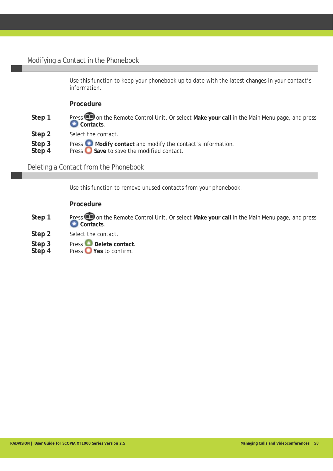Use this function to keep your phonebook up to date with the latest changes in your contact's information.

#### **Procedure**

- <span id="page-55-0"></span>Step 1 Press **1** on the Remote Control Unit. Or select Make your call in the Main Menu page, and press Contacts.
- Step 2 Select the contact.

**Step 3** Press **Modify contact** and modify the contact's information.

**Step 4** Press Save to save the modified contact.

# <span id="page-55-1"></span>Deleting a Contact from the Phonebook

Use this function to remove unused contacts from your phonebook.

#### **Procedure**

- Step 1 Press **1** On the Remote Control Unit. Or select Make your call in the Main Menu page, and press **Contacts**.
- Step 2 Select the contact.
- **Step 3** Press **Delete contact.**<br> **Step 4** Press **P** Yes to confirm.
- **Press C** Yes to confirm.